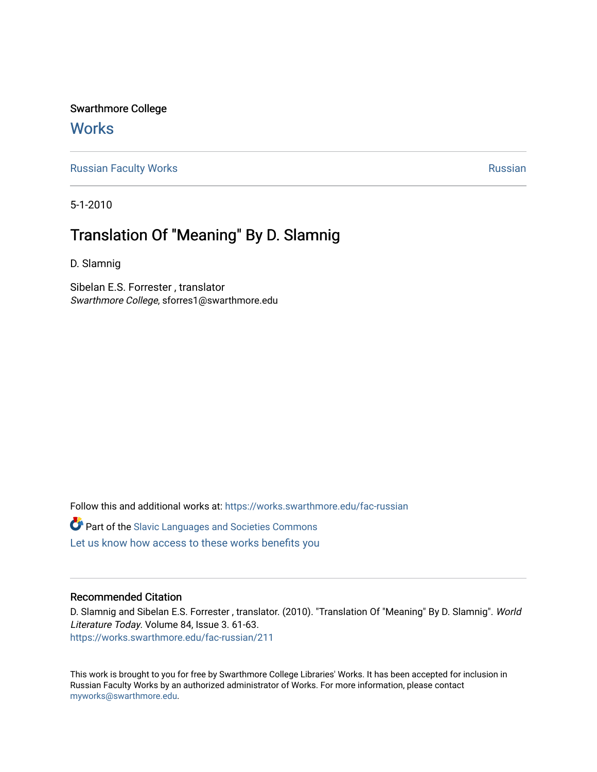Swarthmore College **Works** 

[Russian Faculty Works](https://works.swarthmore.edu/fac-russian) **Russian** [Russian](https://works.swarthmore.edu/russian) Russian Russian

5-1-2010

## Translation Of "Meaning" By D. Slamnig

D. Slamnig

Sibelan E.S. Forrester , translator Swarthmore College, sforres1@swarthmore.edu

Follow this and additional works at: [https://works.swarthmore.edu/fac-russian](https://works.swarthmore.edu/fac-russian?utm_source=works.swarthmore.edu%2Ffac-russian%2F211&utm_medium=PDF&utm_campaign=PDFCoverPages) 

**C** Part of the Slavic Languages and Societies Commons

[Let us know how access to these works benefits you](https://forms.gle/4MB8mE2GywC5965J8) 

#### Recommended Citation

D. Slamnig and Sibelan E.S. Forrester , translator. (2010). "Translation Of "Meaning" By D. Slamnig". World Literature Today. Volume 84, Issue 3. 61-63. <https://works.swarthmore.edu/fac-russian/211>

This work is brought to you for free by Swarthmore College Libraries' Works. It has been accepted for inclusion in Russian Faculty Works by an authorized administrator of Works. For more information, please contact [myworks@swarthmore.edu.](mailto:myworks@swarthmore.edu)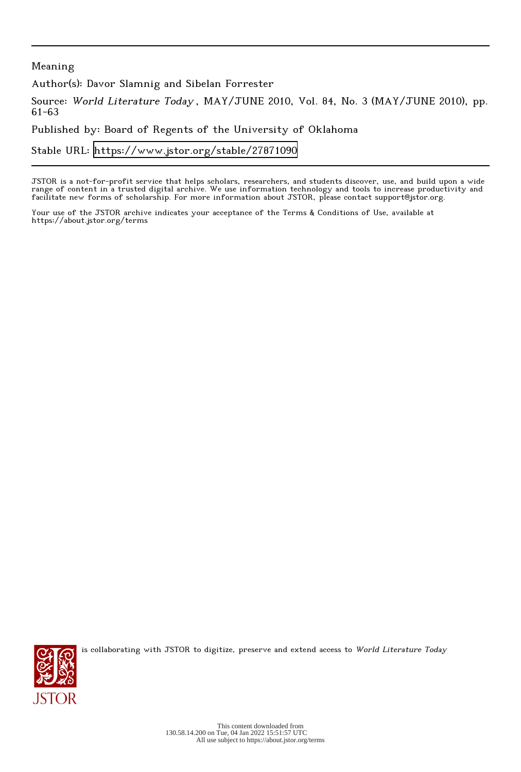### Meaning

Author(s): Davor Slamnig and Sibelan Forrester

Source: World Literature Today , MAY/JUNE 2010, Vol. 84, No. 3 (MAY/JUNE 2010), pp. 61-63

Published by: Board of Regents of the University of Oklahoma

Stable URL:<https://www.jstor.org/stable/27871090>

JSTOR is a not-for-profit service that helps scholars, researchers, and students discover, use, and build upon a wide range of content in a trusted digital archive. We use information technology and tools to increase productivity and facilitate new forms of scholarship. For more information about JSTOR, please contact support@jstor.org.

Your use of the JSTOR archive indicates your acceptance of the Terms & Conditions of Use, available at https://about.jstor.org/terms



is collaborating with JSTOR to digitize, preserve and extend access to World Literature Today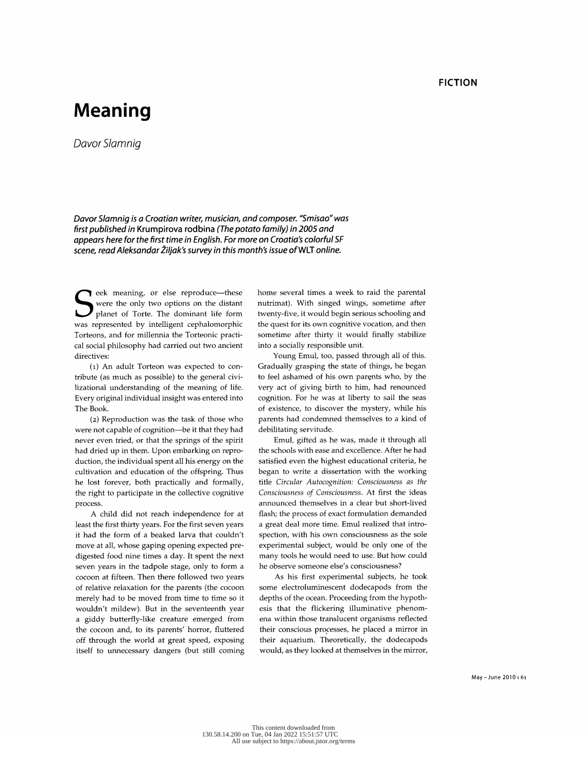# Meaning

Davor Slamnig

 Davor Slamnig is a Croatian writer, musician, and composer. "Smisao" was appears here for the first time in English. For more on Croatia's colorful SF appears here for the first time in English. For more on Croatia's colorful SF scene, read Aleksandar Ziljak's survey in this month's issue of WLT online.

eek meaning, or else reproduce-these were the only two options on the distant planet of Torte. The dominant life form was represented by intelligent cephalomorphic<br>Torteons, and for millennia the Torteonic practi- Torteons, and for millennia the Torteonic practi cal social prince phy had carried out two an directives:

 (1) An adult Torteon was expected to con tribute (as much as possible) to the general civi lizational understanding of the meaning of life. Every original individual insight was entered into The Book.

 (2) Reproduction was the task of those who were not capable of cognition-be it that they had never even tried, or that the springs of the spirit<br>had dried up in them. Upon embarking on repro had dried up in them. Upon embarking on repro duction, the individual spent all his energy on the cultivation and education of the offspring. Thus he lost forever, both practically and formally, the right to participate in the collective cognitive process.

 A child did not reach independence for at least the first thirty years. For the first seven years it had the form of a beaked larva that couldn't move at all, whose gaping opening expected pre digested food nine times a day. It spent the next seven years in the tadpole stage, only to form a seven years in the tadpole stage, only to re cocoon at firech. Then there followed two y of relative relaxation for the parents (the comerely had to be moved from time to time wouldn't mildew). But in the seventeenth year a giddy butterfly-like creature emerged from the cocoon and, to its parents' horror, fluttered off through the world at great speed, exposing itself to unnecessary dangers (but still coming

home several times a week to raid the parental nutrimat). With singed wings, sometime after nutrimat). With singed wings, sometime after twenty-five, it would begin serious sendomig. the quest for its own cognitive vocation, and then sometime after thirty it would finally stabilize into a socially responsible unit.

Young Emul, too, passed through all of this. Young Emul, too, passed through all of Gradually grasping the state of things, he began to feel ashamed of his own parents who, by the very act of giving birth to him, had renounced cognition. For he was at liberty to sail the seas of existence, to discover the mystery, while his parents had condemned themselves to a kind of debilitating servitude.

 Emul, gifted as he was, made it through all the schools with ease and excellence. After he had satisfied even the highest educational criteria, he<br>began to write a dissertation with the working began to write a dissertation with the working title Circular Autocognition: Consciousness as the Consciousness of Consciousness. At first the ideas announced themselves in a clear but short-lived flash; the process of exact formulation demanded a great deal more time. Emul realized that intro spection, with his own consciousness as the sole experimental subject, would be only one of the many tools he would need to use. But how could he observe someone else's consciousness?

As his first experimental subjects, he took some electroluminescent dodecapods from the some electroluminescent dodecapods from the depths of the ocean. Proceeding from the hyp esis that the flickering illuminative phenom ena within those translucent organisms reflected their conscious processes, he placed a mirror in their aquarium. Theoretically, the dodecapods would, as they looked at themselves in the mirror,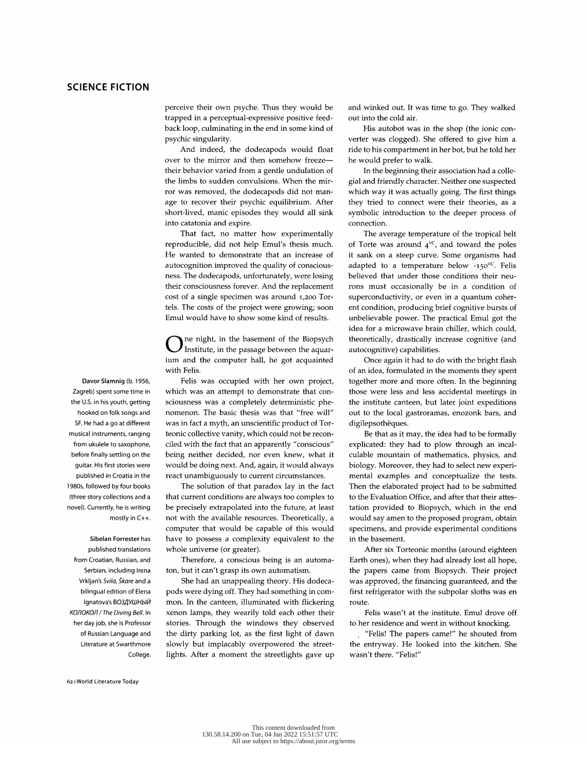perceive their own psyche. Thus they would be trapped in a perceptual-expressive positive feed back loop, culminating in the end in some kind of psychic singularity.

 And indeed, the dodecapods would float over to the mirror and then somehow freeze their behavior varied from a gentle undulation of the limbs to sudden convulsions. When the mir ror was removed, the dodecapods did not man age to recover their psychic equilibrium. After short-lived, manic episodes they would all sink into catatonia and expire.

 That fact, no matter how experimentally reproducible, did not help Emul's thesis much. He wanted to demonstrate that an increase of autocognition improved the quality of consciousness. The dodecapods, unfortunately, were losing their consciousness forever. And the replacement cost of a single specimen was around 1,200 Tortels. The costs of the project were growing; soon  $t_{\text{tot}}$  and  $t_{\text{tot}}$  are project were growing; Emul would have to show some kind of results.

ne night, in the basement of the Biopsych Institute, in the passage between the aquar ium and the computer hall, he got acquainted with Felis.

 Felis was occupied with her own project, which was an attempt to demonstrate that con sciousness was a completely deterministic phe nomenon. The basic thesis was that "free will" was in fact a myth, an unscientific product of Tor teonic collective vanity, which could not be recon ciled with the fact that an apparently "conscious" being neither decided, nor even knew, what it would be doing next. And, again, it would always react unambiguously to current circumstances.

 The solution of that paradox lay in the fact that current conditions are always too complex to<br>be precisely extrapolated into the future, at least not with the available resources. Theoretically, a not with the available resources. Theoretically, a computer that would be capable of this would have to possess a complexity equivalent to the whole universe (or greater).

 Therefore, a conscious being is an automa ton, but it can't grasp its own automatism.

 She had an unappealing theory. His dodeca pods were dying off. They had something in com mon. In the canteen, illuminated with flickering xenon lamps, they wearily told each other their stories. Through the windows they observed the dirty parking lot, as the first light of dawn slowly but implacably overpowered the street lights. After a moment the streetlights gave up  and winked out. It was time to go. They walked out into the cold air.

 His autobot was in the shop (the ionic con verter was clogged). She offered to give him a ride to his compartment in her bot, but he told her he would prefer to walk.

In the beginning their association had a colle gial and friendly character. Neither one suspected which way it was actually going. The first things they tried to connect were their theories, as a symbolic introduction to the deeper process of connection.

The average temperature of the tropical b of Torte was around  $4$ ?, and toward the pole it sank on a steep curve. Some organisms had<br>adapted to a temperature below -150 $^{\circ}$ C. Felis adapted to a temperature below  $-150$ . Feli believed that under those conditions their ne rons must occasionally be in a condition of superconductivity, or even in a quantum coher ent condition, producing brief cognitive bursts of unbelievable power. The practical Emul got the idea for a microwave brain chiller, which could, theoretically, drastically increase cognitive (and autocognitive) capabilities.

Once again it had to do with the bright flash<br>of an idea, formulated in the moments they spent together more and more often. In the beginning together more and more often. In the beginning those were less and less accidental meetings in the institute canteen, but later joint expeditions out to the local gastroramas, enozonk bars, and digilepsothèques.

 Be that as it may, the idea had to be formally explicated: they had to plow through an incal culable mountain of mathematics, physics, and biology. Moreover, they had to select new experi mental examples and conceptualize the tests. Then the elaborated project had to be submitted to the Evaluation Office, and after that their attes-<br>tation provided to Biopsych, which in the end would say amen to the proposed program, obtain would say amen to the proposed program, obtain specificns, and provide experimental conditions in the basement.

 After six Torteonic months (around eighteen Earth ones), when they had already lost all hope, the papers came from Biopsych. Their project was approved, the financing guaranteed, and the first refrigerator with the subpolar sloths was en route.

Felis wasn't at the institute. Emul drove off

 to her residence and went in without knocking. Felis: The papers came: The shouted from the entryway. He looked into the kitchen. She wasn't there. "Felis!"

 Davor Slamnig (b. 1956, Zagreb) spent some time in the U.S. in his youth, getting hooked on folk songs and SF. He had a go at different musical instruments, ranging from ukulele to saxophone, before finally settling on the guitar. His first stories were published in Croatia in the 1980s, followed by four books (three story collections and a novel). Currently, he is writing mostly in C++.

 Sibelan Forrester has published translations from Croatian, Russian, and Serbian, including Irena Vrkljan's Svila, Skare and a bilingual edition of Elena Ignatova's ВОЗДУШНЫЙ KOJIOKOJI/The Diving Bell. In her day job, she is Professor of Russian Language and Literature at Swarthmore College.

621 World Literature Today